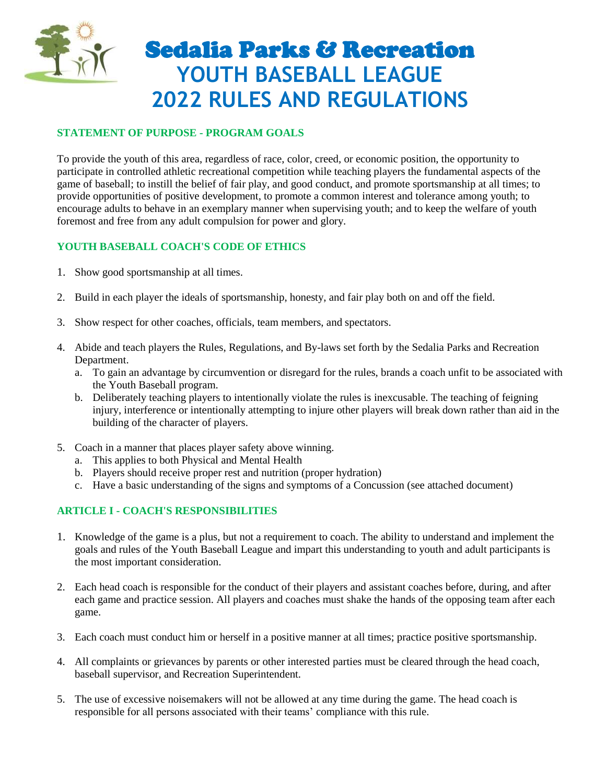

# Sedalia Parks & Recreation **YOUTH BASEBALL LEAGUE 2022 RULES AND REGULATIONS**

# **STATEMENT OF PURPOSE - PROGRAM GOALS**

To provide the youth of this area, regardless of race, color, creed, or economic position, the opportunity to participate in controlled athletic recreational competition while teaching players the fundamental aspects of the game of baseball; to instill the belief of fair play, and good conduct, and promote sportsmanship at all times; to provide opportunities of positive development, to promote a common interest and tolerance among youth; to encourage adults to behave in an exemplary manner when supervising youth; and to keep the welfare of youth foremost and free from any adult compulsion for power and glory.

## **YOUTH BASEBALL COACH'S CODE OF ETHICS**

- 1. Show good sportsmanship at all times.
- 2. Build in each player the ideals of sportsmanship, honesty, and fair play both on and off the field.
- 3. Show respect for other coaches, officials, team members, and spectators.
- 4. Abide and teach players the Rules, Regulations, and By-laws set forth by the Sedalia Parks and Recreation Department.
	- a. To gain an advantage by circumvention or disregard for the rules, brands a coach unfit to be associated with the Youth Baseball program.
	- b. Deliberately teaching players to intentionally violate the rules is inexcusable. The teaching of feigning injury, interference or intentionally attempting to injure other players will break down rather than aid in the building of the character of players.
- 5. Coach in a manner that places player safety above winning.
	- a. This applies to both Physical and Mental Health
	- b. Players should receive proper rest and nutrition (proper hydration)
	- c. Have a basic understanding of the signs and symptoms of a Concussion (see attached document)

# **ARTICLE I - COACH'S RESPONSIBILITIES**

- 1. Knowledge of the game is a plus, but not a requirement to coach. The ability to understand and implement the goals and rules of the Youth Baseball League and impart this understanding to youth and adult participants is the most important consideration.
- 2. Each head coach is responsible for the conduct of their players and assistant coaches before, during, and after each game and practice session. All players and coaches must shake the hands of the opposing team after each game.
- 3. Each coach must conduct him or herself in a positive manner at all times; practice positive sportsmanship.
- 4. All complaints or grievances by parents or other interested parties must be cleared through the head coach, baseball supervisor, and Recreation Superintendent.
- 5. The use of excessive noisemakers will not be allowed at any time during the game. The head coach is responsible for all persons associated with their teams' compliance with this rule.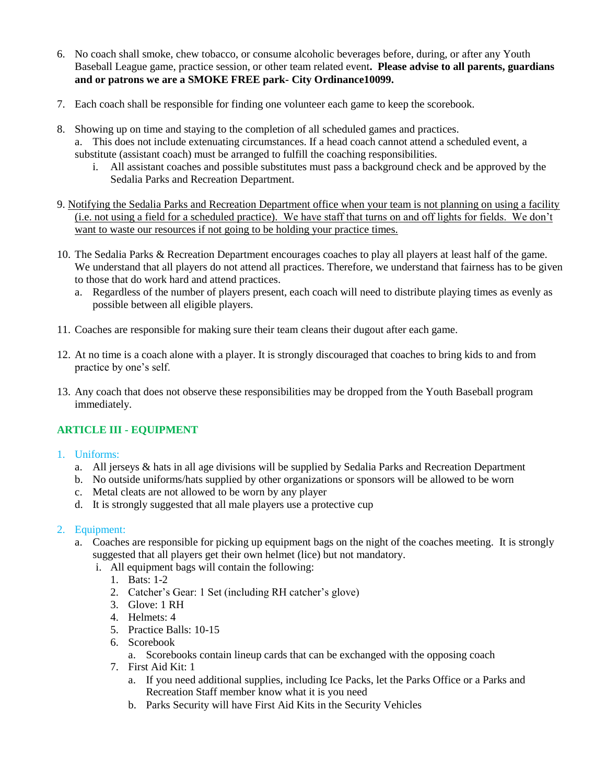- 6. No coach shall smoke, chew tobacco, or consume alcoholic beverages before, during, or after any Youth Baseball League game, practice session, or other team related event**. Please advise to all parents, guardians and or patrons we are a SMOKE FREE park- City Ordinance10099.**
- 7. Each coach shall be responsible for finding one volunteer each game to keep the scorebook.
- 8. Showing up on time and staying to the completion of all scheduled games and practices. a. This does not include extenuating circumstances. If a head coach cannot attend a scheduled event, a substitute (assistant coach) must be arranged to fulfill the coaching responsibilities.
	- i. All assistant coaches and possible substitutes must pass a background check and be approved by the Sedalia Parks and Recreation Department.
- 9. Notifying the Sedalia Parks and Recreation Department office when your team is not planning on using a facility (i.e. not using a field for a scheduled practice). We have staff that turns on and off lights for fields. We don't want to waste our resources if not going to be holding your practice times.
- 10. The Sedalia Parks & Recreation Department encourages coaches to play all players at least half of the game. We understand that all players do not attend all practices. Therefore, we understand that fairness has to be given to those that do work hard and attend practices.
	- a. Regardless of the number of players present, each coach will need to distribute playing times as evenly as possible between all eligible players.
- 11. Coaches are responsible for making sure their team cleans their dugout after each game.
- 12. At no time is a coach alone with a player. It is strongly discouraged that coaches to bring kids to and from practice by one's self.
- 13. Any coach that does not observe these responsibilities may be dropped from the Youth Baseball program immediately.

# **ARTICLE III - EQUIPMENT**

- 1. Uniforms:
	- a. All jerseys & hats in all age divisions will be supplied by Sedalia Parks and Recreation Department
	- b. No outside uniforms/hats supplied by other organizations or sponsors will be allowed to be worn
	- c. Metal cleats are not allowed to be worn by any player
	- d. It is strongly suggested that all male players use a protective cup

## 2. Equipment:

- a. Coaches are responsible for picking up equipment bags on the night of the coaches meeting. It is strongly suggested that all players get their own helmet (lice) but not mandatory.
	- i. All equipment bags will contain the following:
		- 1. Bats: 1-2
		- 2. Catcher's Gear: 1 Set (including RH catcher's glove)
		- 3. Glove: 1 RH
		- 4. Helmets: 4
		- 5. Practice Balls: 10-15
		- 6. Scorebook
			- a. Scorebooks contain lineup cards that can be exchanged with the opposing coach
		- 7. First Aid Kit: 1
			- a. If you need additional supplies, including Ice Packs, let the Parks Office or a Parks and Recreation Staff member know what it is you need
			- b. Parks Security will have First Aid Kits in the Security Vehicles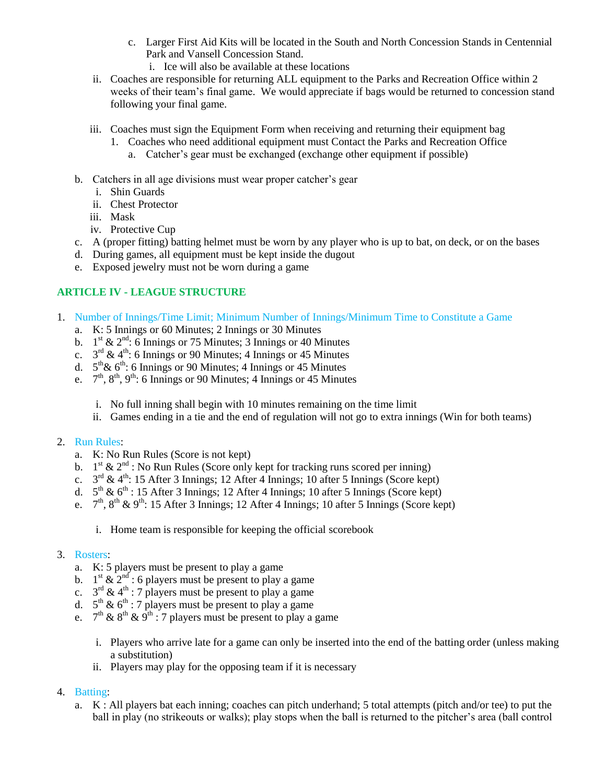- c. Larger First Aid Kits will be located in the South and North Concession Stands in Centennial Park and Vansell Concession Stand.
	- i. Ice will also be available at these locations
- ii. Coaches are responsible for returning ALL equipment to the Parks and Recreation Office within 2 weeks of their team's final game. We would appreciate if bags would be returned to concession stand following your final game.
- iii. Coaches must sign the Equipment Form when receiving and returning their equipment bag
	- 1. Coaches who need additional equipment must Contact the Parks and Recreation Office
		- a. Catcher's gear must be exchanged (exchange other equipment if possible)
- b. Catchers in all age divisions must wear proper catcher's gear
	- i. Shin Guards
	- ii. Chest Protector
	- iii. Mask
	- iv. Protective Cup
- c. A (proper fitting) batting helmet must be worn by any player who is up to bat, on deck, or on the bases
- d. During games, all equipment must be kept inside the dugout
- e. Exposed jewelry must not be worn during a game

# **ARTICLE IV - LEAGUE STRUCTURE**

- 1. Number of Innings/Time Limit; Minimum Number of Innings/Minimum Time to Constitute a Game
	- a. K: 5 Innings or 60 Minutes; 2 Innings or 30 Minutes
	- b.  $1<sup>st</sup> \& 2<sup>nd</sup>$ : 6 Innings or 75 Minutes; 3 Innings or 40 Minutes
	- c.  $3^{rd}$  & 4<sup>th</sup>: 6 Innings or 90 Minutes; 4 Innings or 45 Minutes
	- d.  $5^{th}$ &  $6^{th}$ : 6 Innings or 90 Minutes; 4 Innings or 45 Minutes
	- e.  $7<sup>th</sup>$ ,  $8<sup>th</sup>$ ,  $9<sup>th</sup>$ : 6 Innings or 90 Minutes; 4 Innings or 45 Minutes
		- i. No full inning shall begin with 10 minutes remaining on the time limit
		- ii. Games ending in a tie and the end of regulation will not go to extra innings (Win for both teams)

## 2. Run Rules:

- a. K: No Run Rules (Score is not kept)
- b.  $1<sup>st</sup>$  &  $2<sup>nd</sup>$ : No Run Rules (Score only kept for tracking runs scored per inning)
- c.  $3<sup>rd</sup>$  & 4<sup>th</sup>: 15 After 3 Innings; 12 After 4 Innings; 10 after 5 Innings (Score kept)
- d.  $5<sup>th</sup>$  &  $6<sup>th</sup>$ : 15 After 3 Innings; 12 After 4 Innings; 10 after 5 Innings (Score kept)
- e.  $7<sup>th</sup>$ ,  $8<sup>th</sup>$  &  $9<sup>th</sup>$ : 15 After 3 Innings; 12 After 4 Innings; 10 after 5 Innings (Score kept)
	- i. Home team is responsible for keeping the official scorebook

## 3. Rosters:

- a. K: 5 players must be present to play a game
- b.  $1^{st}$  &  $2^{nd}$  : 6 players must be present to play a game
- c.  $3^{rd}$  & 4<sup>th</sup> : 7 players must be present to play a game
- d.  $5^{th}$  &  $6^{th}$  : 7 players must be present to play a game
- e.  $7^{\text{th}}$  &  $8^{\text{th}}$  &  $9^{\text{th}}$ : 7 players must be present to play a game
	- i. Players who arrive late for a game can only be inserted into the end of the batting order (unless making a substitution)
	- ii. Players may play for the opposing team if it is necessary

## 4. Batting:

a. K : All players bat each inning; coaches can pitch underhand; 5 total attempts (pitch and/or tee) to put the ball in play (no strikeouts or walks); play stops when the ball is returned to the pitcher's area (ball control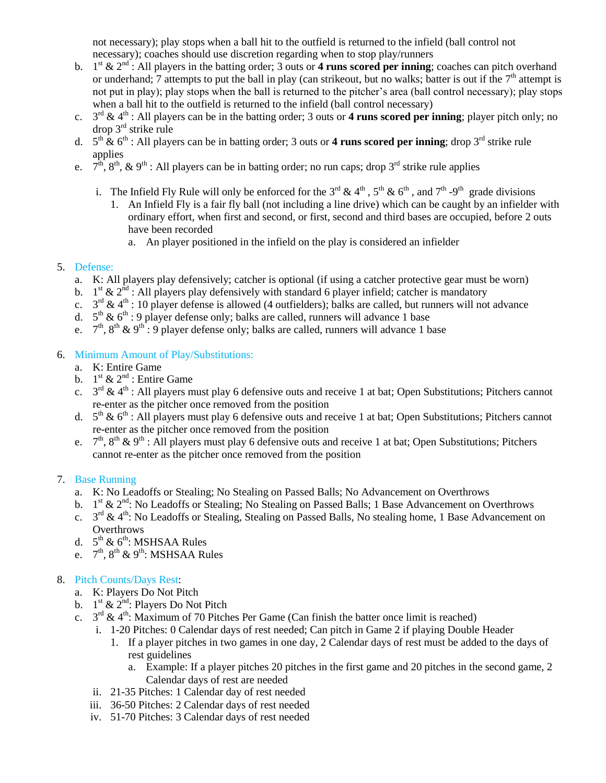not necessary); play stops when a ball hit to the outfield is returned to the infield (ball control not necessary); coaches should use discretion regarding when to stop play/runners

- b.  $1^{st}$  &  $2^{nd}$ : All players in the batting order; 3 outs or 4 runs scored per inning; coaches can pitch overhand or underhand;  $\overline{7}$  attempts to put the ball in play (can strike out, but no walks; batter is out if the  $7<sup>th</sup>$  attempt is not put in play); play stops when the ball is returned to the pitcher's area (ball control necessary); play stops when a ball hit to the outfield is returned to the infield (ball control necessary)
- c.  $3^{rd} \& 4^{th}$ : All players can be in the batting order; 3 outs or 4 runs scored per inning; player pitch only; no  $drop 3<sup>rd</sup> strike rule$
- d.  $5<sup>th</sup> \& 6<sup>th</sup>$ : All players can be in batting order; 3 outs or **4 runs scored per inning**; drop 3<sup>rd</sup> strike rule applies
- e.  $7^{\text{th}}$ ,  $8^{\text{th}}$ ,  $\&$  9<sup>th</sup> : All players can be in batting order; no run caps; drop 3<sup>rd</sup> strike rule applies
	- i. The Infield Fly Rule will only be enforced for the  $3^{rd}$  &  $4^{th}$ ,  $5^{th}$  &  $6^{th}$ , and  $7^{th}$  -9<sup>th</sup> grade divisions
		- 1. An Infield Fly is a fair fly ball (not including a line drive) which can be caught by an infielder with ordinary effort, when first and second, or first, second and third bases are occupied, before 2 outs have been recorded
			- a. An player positioned in the infield on the play is considered an infielder

#### 5. Defense:

- a. K: All players play defensively; catcher is optional (if using a catcher protective gear must be worn)
- b.  $1<sup>st</sup>$  &  $2<sup>nd</sup>$ : All players play defensively with standard 6 player infield; catcher is mandatory
- c.  $3<sup>rd</sup>$  & 4<sup>th</sup> : 10 player defense is allowed (4 outfielders); balks are called, but runners will not advance
- d.  $5<sup>th</sup>$  &  $6<sup>th</sup>$ : 9 player defense only; balks are called, runners will advance 1 base
- e.  $7<sup>th</sup>$ ,  $8<sup>th</sup>$  &  $9<sup>th</sup>$ : 9 player defense only; balks are called, runners will advance 1 base

#### 6. Minimum Amount of Play/Substitutions:

- a. K: Entire Game
- b.  $1^{\text{st}} \& 2^{\text{nd}}$ : Entire Game
- c.  $3<sup>rd</sup>$  & 4<sup>th</sup>: All players must play 6 defensive outs and receive 1 at bat; Open Substitutions; Pitchers cannot re-enter as the pitcher once removed from the position
- d.  $5<sup>th</sup>$  &  $6<sup>th</sup>$ : All players must play 6 defensive outs and receive 1 at bat; Open Substitutions; Pitchers cannot re-enter as the pitcher once removed from the position
- e.  $7<sup>th</sup>$ ,  $8<sup>th</sup>$  &  $9<sup>th</sup>$ : All players must play 6 defensive outs and receive 1 at bat; Open Substitutions; Pitchers cannot re-enter as the pitcher once removed from the position

## 7. Base Running

- a. K: No Leadoffs or Stealing; No Stealing on Passed Balls; No Advancement on Overthrows
- b.  $1<sup>st</sup>$  &  $2<sup>nd</sup>$ : No Leadoffs or Stealing; No Stealing on Passed Balls; 1 Base Advancement on Overthrows
- c.  $3<sup>rd</sup>$  & 4<sup>th</sup>: No Leadoffs or Stealing, Stealing on Passed Balls, No stealing home, 1 Base Advancement on **Overthrows**
- d.  $5^{\text{th}}$  &  $6^{\text{th}}$ : MSHSAA Rules
- e.  $7^{\text{th}}$ ,  $8^{\text{th}}$  &  $9^{\text{th}}$ : MSHSAA Rules

## 8. Pitch Counts/Days Rest:

- a. K: Players Do Not Pitch
- b.  $1^{\text{st}} \& 2^{\text{nd}}$ : Players Do Not Pitch
- c.  $3<sup>rd</sup> \& 4<sup>th</sup>$ : Maximum of 70 Pitches Per Game (Can finish the batter once limit is reached)
	- i. 1-20 Pitches: 0 Calendar days of rest needed; Can pitch in Game 2 if playing Double Header
		- 1. If a player pitches in two games in one day, 2 Calendar days of rest must be added to the days of rest guidelines
			- a. Example: If a player pitches 20 pitches in the first game and 20 pitches in the second game, 2 Calendar days of rest are needed
	- ii. 21-35 Pitches: 1 Calendar day of rest needed
	- iii. 36-50 Pitches: 2 Calendar days of rest needed
	- iv. 51-70 Pitches: 3 Calendar days of rest needed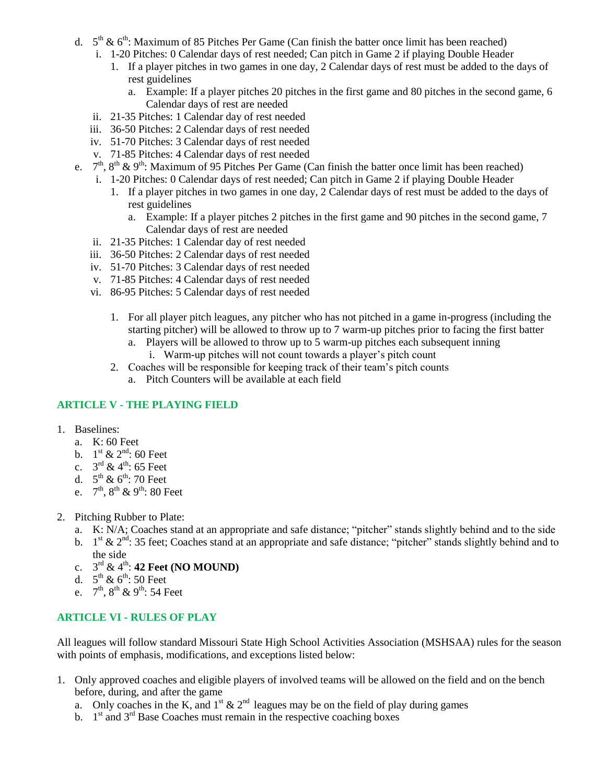- d.  $5<sup>th</sup>$  &  $6<sup>th</sup>$ : Maximum of 85 Pitches Per Game (Can finish the batter once limit has been reached)
	- i. 1-20 Pitches: 0 Calendar days of rest needed; Can pitch in Game 2 if playing Double Header
		- 1. If a player pitches in two games in one day, 2 Calendar days of rest must be added to the days of rest guidelines
			- a. Example: If a player pitches 20 pitches in the first game and 80 pitches in the second game, 6 Calendar days of rest are needed
	- ii. 21-35 Pitches: 1 Calendar day of rest needed
	- iii. 36-50 Pitches: 2 Calendar days of rest needed
	- iv. 51-70 Pitches: 3 Calendar days of rest needed
	- v. 71-85 Pitches: 4 Calendar days of rest needed
- e.  $7<sup>th</sup>$ ,  $8<sup>th</sup>$  &  $9<sup>th</sup>$ : Maximum of 95 Pitches Per Game (Can finish the batter once limit has been reached)
	- i. 1-20 Pitches: 0 Calendar days of rest needed; Can pitch in Game 2 if playing Double Header
		- 1. If a player pitches in two games in one day, 2 Calendar days of rest must be added to the days of rest guidelines
			- a. Example: If a player pitches 2 pitches in the first game and 90 pitches in the second game, 7 Calendar days of rest are needed
	- ii. 21-35 Pitches: 1 Calendar day of rest needed
	- iii. 36-50 Pitches: 2 Calendar days of rest needed
	- iv. 51-70 Pitches: 3 Calendar days of rest needed
	- v. 71-85 Pitches: 4 Calendar days of rest needed
	- vi. 86-95 Pitches: 5 Calendar days of rest needed
		- 1. For all player pitch leagues, any pitcher who has not pitched in a game in-progress (including the starting pitcher) will be allowed to throw up to 7 warm-up pitches prior to facing the first batter
			- a. Players will be allowed to throw up to 5 warm-up pitches each subsequent inning
				- i. Warm-up pitches will not count towards a player's pitch count
		- 2. Coaches will be responsible for keeping track of their team's pitch counts
			- a. Pitch Counters will be available at each field

#### **ARTICLE V - THE PLAYING FIELD**

- 1. Baselines:
	- a. K: 60 Feet
	- b.  $1^{\text{st}} \& 2^{\text{nd}}$ : 60 Feet
	- c.  $3^{\text{rd}} \& 4^{\text{th}}$ : 65 Feet
	- d.  $5^{\text{th}}$  &  $6^{\text{th}}$ : 70 Feet
	- e.  $7^{\text{th}}$ ,  $8^{\text{th}}$  &  $9^{\text{th}}$ : 80 Feet
- 2. Pitching Rubber to Plate:
	- a. K: N/A; Coaches stand at an appropriate and safe distance; "pitcher" stands slightly behind and to the side
	- b.  $1<sup>st</sup>$  &  $2<sup>nd</sup>$ : 35 feet; Coaches stand at an appropriate and safe distance; "pitcher" stands slightly behind and to the side
	- c. 3 rd & 4th: **42 Feet (NO MOUND)**
	- d.  $5^{\text{th}} \& 6^{\text{th}}$ : 50 Feet
	- e.  $7^{\text{th}}$ ,  $8^{\text{th}}$  &  $9^{\text{th}}$ : 54 Feet

#### **ARTICLE VI - RULES OF PLAY**

All leagues will follow standard Missouri State High School Activities Association (MSHSAA) rules for the season with points of emphasis, modifications, and exceptions listed below:

- 1. Only approved coaches and eligible players of involved teams will be allowed on the field and on the bench before, during, and after the game
	- a. Only coaches in the K, and  $1<sup>st</sup> \& 2<sup>nd</sup>$  leagues may be on the field of play during games
	- b.  $1<sup>st</sup>$  and  $3<sup>rd</sup>$  Base Coaches must remain in the respective coaching boxes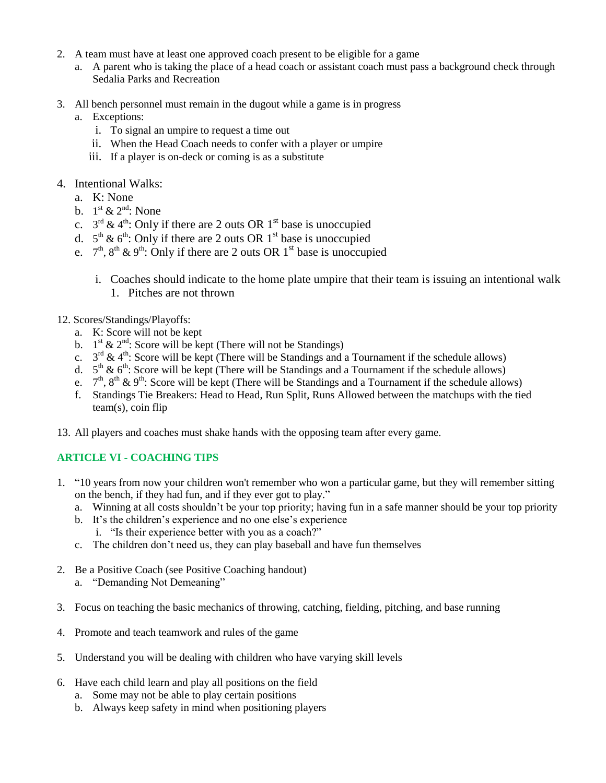- 2. A team must have at least one approved coach present to be eligible for a game
	- a. A parent who is taking the place of a head coach or assistant coach must pass a background check through Sedalia Parks and Recreation
- 3. All bench personnel must remain in the dugout while a game is in progress
	- a. Exceptions:
		- i. To signal an umpire to request a time out
		- ii. When the Head Coach needs to confer with a player or umpire
		- iii. If a player is on-deck or coming is as a substitute
- 4. Intentional Walks:
	- a. K: None
	- b.  $1^{\text{st}} \& 2^{\text{nd}}$ : None
	- c.  $3<sup>rd</sup> \& 4<sup>th</sup>$ : Only if there are 2 outs OR 1<sup>st</sup> base is unoccupied
	- d.  $5<sup>th</sup>$  &  $6<sup>th</sup>$ : Only if there are 2 outs OR 1<sup>st</sup> base is unoccupied
	- e.  $7<sup>th</sup>$ ,  $8<sup>th</sup>$  &  $9<sup>th</sup>$ : Only if there are 2 outs OR 1<sup>st</sup> base is unoccupied
		- i. Coaches should indicate to the home plate umpire that their team is issuing an intentional walk 1. Pitches are not thrown
- 12. Scores/Standings/Playoffs:
	- a. K: Score will not be kept
	- b.  $1<sup>st</sup> \& 2<sup>nd</sup>$ : Score will be kept (There will not be Standings)
	- c.  $3<sup>rd</sup> \& 4<sup>th</sup>$ : Score will be kept (There will be Standings and a Tournament if the schedule allows)
	- d.  $5<sup>th</sup>$  &  $6<sup>th</sup>$ : Score will be kept (There will be Standings and a Tournament if the schedule allows)
	- e.  $7<sup>th</sup>$ ,  $8<sup>th</sup>$  &  $9<sup>th</sup>$ : Score will be kept (There will be Standings and a Tournament if the schedule allows)
	- f. Standings Tie Breakers: Head to Head, Run Split, Runs Allowed between the matchups with the tied team(s), coin flip
- 13. All players and coaches must shake hands with the opposing team after every game.

## **ARTICLE VI - COACHING TIPS**

- 1. "10 years from now your children won't remember who won a particular game, but they will remember sitting on the bench, if they had fun, and if they ever got to play."
	- a. Winning at all costs shouldn't be your top priority; having fun in a safe manner should be your top priority
	- b. It's the children's experience and no one else's experience i. "Is their experience better with you as a coach?"
	- c. The children don't need us, they can play baseball and have fun themselves
- 2. Be a Positive Coach (see Positive Coaching handout)
	- a. "Demanding Not Demeaning"
- 3. Focus on teaching the basic mechanics of throwing, catching, fielding, pitching, and base running
- 4. Promote and teach teamwork and rules of the game
- 5. Understand you will be dealing with children who have varying skill levels
- 6. Have each child learn and play all positions on the field
	- a. Some may not be able to play certain positions
	- b. Always keep safety in mind when positioning players